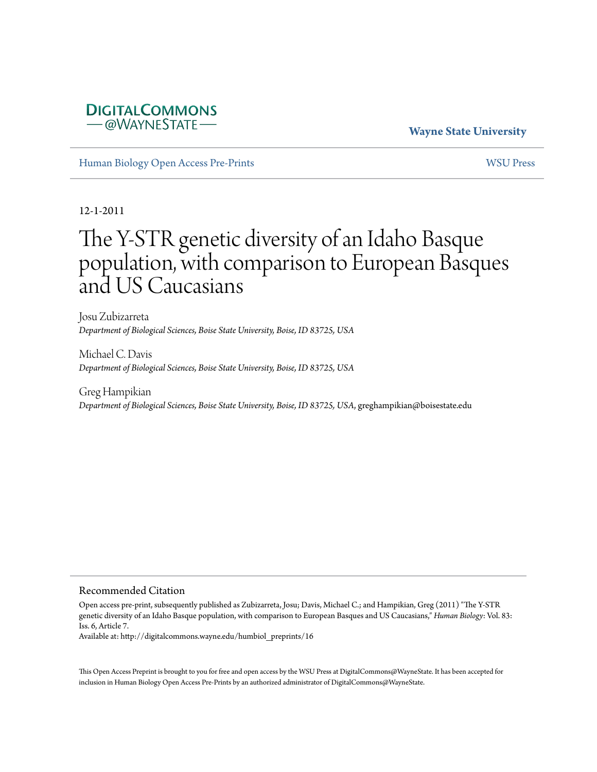## **DIGITALCOMMONS** –@WAYNESTATE–

## **Wayne State University**

[Human Biology Open Access Pre-Prints](http://digitalcommons.wayne.edu/humbiol_preprints) [WSU Press](http://digitalcommons.wayne.edu/wsupress)

12-1-2011

# The Y-STR genetic diversity of an Idaho Basque population, with comparison to European Basques and US Caucasians

Josu Zubizarreta *Department of Biological Sciences, Boise State University, Boise, ID 83725, USA*

Michael C. Davis *Department of Biological Sciences, Boise State University, Boise, ID 83725, USA*

Greg Hampikian *Department of Biological Sciences, Boise State University, Boise, ID 83725, USA*, greghampikian@boisestate.edu

#### Recommended Citation

Open access pre-print, subsequently published as Zubizarreta, Josu; Davis, Michael C.; and Hampikian, Greg (2011) "The Y-STR genetic diversity of an Idaho Basque population, with comparison to European Basques and US Caucasians," *Human Biology*: Vol. 83: Iss. 6, Article 7.

Available at: http://digitalcommons.wayne.edu/humbiol\_preprints/16

This Open Access Preprint is brought to you for free and open access by the WSU Press at DigitalCommons@WayneState. It has been accepted for inclusion in Human Biology Open Access Pre-Prints by an authorized administrator of DigitalCommons@WayneState.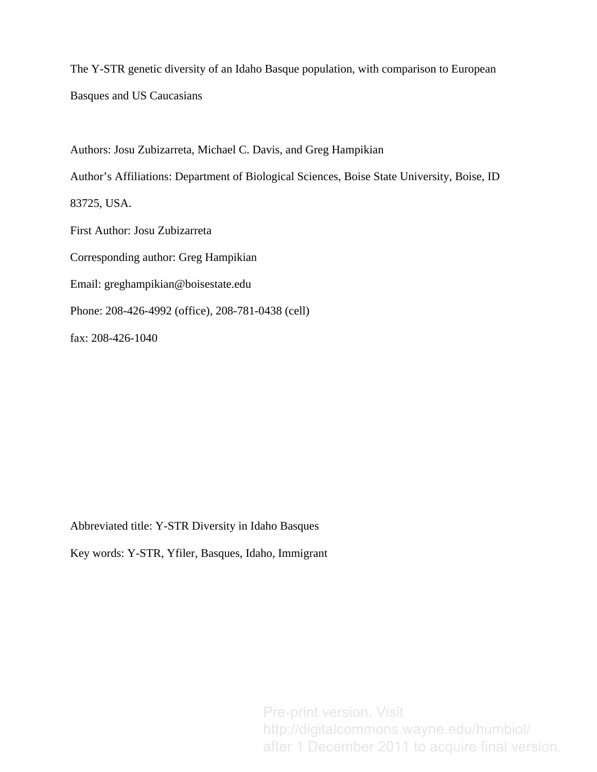The Y-STR genetic diversity of an Idaho Basque population, with comparison to European Basques and US Caucasians

Authors: Josu Zubizarreta, Michael C. Davis, and Greg Hampikian

Author's Affiliations: Department of Biological Sciences, Boise State University, Boise, ID

83725, USA.

First Author: Josu Zubizarreta

Corresponding author: Greg Hampikian

Email: greghampikian@boisestate.edu

Phone: 208-426-4992 (office), 208-781-0438 (cell)

fax: 208-426-1040

Abbreviated title: Y-STR Diversity in Idaho Basques

Key words: Y-STR, Yfiler, Basques, Idaho, Immigrant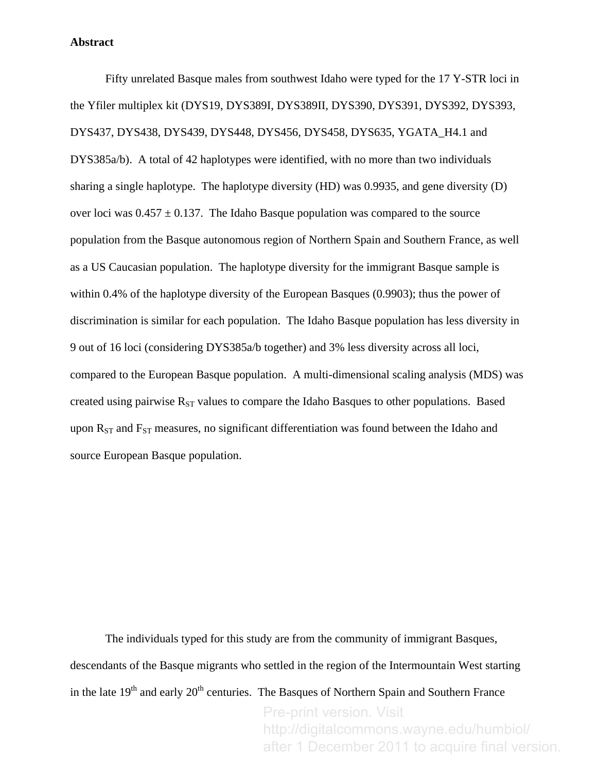#### **Abstract**

Fifty unrelated Basque males from southwest Idaho were typed for the 17 Y-STR loci in the Yfiler multiplex kit (DYS19, DYS389I, DYS389II, DYS390, DYS391, DYS392, DYS393, DYS437, DYS438, DYS439, DYS448, DYS456, DYS458, DYS635, YGATA\_H4.1 and DYS385a/b). A total of 42 haplotypes were identified, with no more than two individuals sharing a single haplotype. The haplotype diversity (HD) was 0.9935, and gene diversity (D) over loci was  $0.457 \pm 0.137$ . The Idaho Basque population was compared to the source population from the Basque autonomous region of Northern Spain and Southern France, as well as a US Caucasian population. The haplotype diversity for the immigrant Basque sample is within 0.4% of the haplotype diversity of the European Basques (0.9903); thus the power of discrimination is similar for each population. The Idaho Basque population has less diversity in 9 out of 16 loci (considering DYS385a/b together) and 3% less diversity across all loci, compared to the European Basque population. A multi-dimensional scaling analysis (MDS) was created using pairwise  $R_{ST}$  values to compare the Idaho Basques to other populations. Based upon  $R_{ST}$  and  $F_{ST}$  measures, no significant differentiation was found between the Idaho and source European Basque population.

 The individuals typed for this study are from the community of immigrant Basques, descendants of the Basque migrants who settled in the region of the Intermountain West starting in the late  $19<sup>th</sup>$  and early  $20<sup>th</sup>$  centuries. The Basques of Northern Spain and Southern France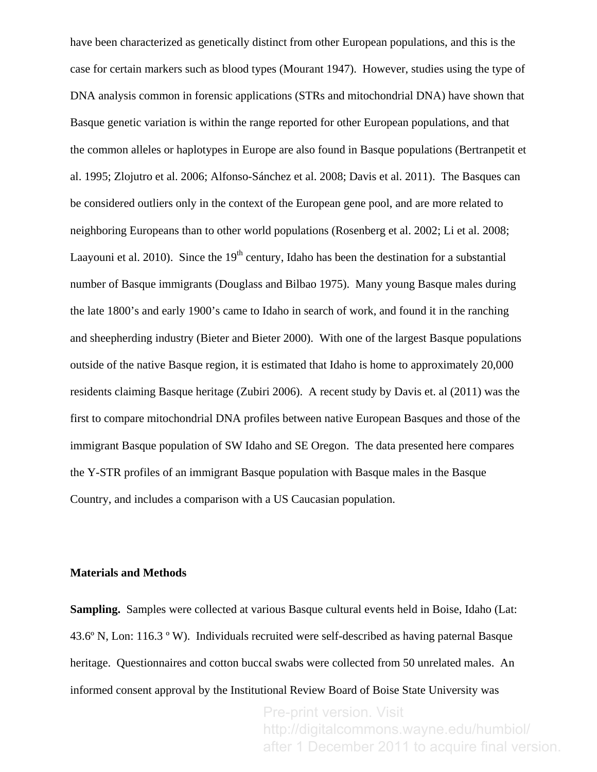have been characterized as genetically distinct from other European populations, and this is the case for certain markers such as blood types ([Mourant 1947\)](#page-14-0). However, studies using the type of DNA analysis common in forensic applications (STRs and mitochondrial DNA) have shown that Basque genetic variation is within the range reported for other European populations, and that the common alleles or haplotypes in Europe are also found in Basque populations ([Bertranpetit et](#page-14-1)  [al. 1995;](#page-14-1) [Zlojutro et al. 2006;](#page-15-0) [Alfonso-Sánchez et al. 2008;](#page-14-2) [Davis et al. 2011\)](#page-14-3). The Basques can be considered outliers only in the context of the European gene pool, and are more related to neighboring Europeans than to other world populations [\(Rosenberg et al. 2002;](#page-15-1) [Li et al. 2008](#page-14-4); [Laayouni et al. 2010\)](#page-14-5). Since the  $19<sup>th</sup>$  century, Idaho has been the destination for a substantial number of Basque immigrants ([Douglass and Bilbao 1975\)](#page-14-6). Many young Basque males during the late 1800's and early 1900's came to Idaho in search of work, and found it in the ranching and sheepherding industry ([Bieter and Bieter 2000\)](#page-14-7). With one of the largest Basque populations outside of the native Basque region, it is estimated that Idaho is home to approximately 20,000 residents claiming Basque heritage ([Zubiri 2006\)](#page-15-2). A recent study by Davis et. al (2011) was the first to compare mitochondrial DNA profiles between native European Basques and those of the immigrant Basque population of SW Idaho and SE Oregon. The data presented here compares the Y-STR profiles of an immigrant Basque population with Basque males in the Basque Country, and includes a comparison with a US Caucasian population.

#### **Materials and Methods**

**Sampling.** Samples were collected at various Basque cultural events held in Boise, Idaho (Lat: 43.6º N, Lon: 116.3 º W). Individuals recruited were self-described as having paternal Basque heritage. Questionnaires and cotton buccal swabs were collected from 50 unrelated males. An informed consent approval by the Institutional Review Board of Boise State University was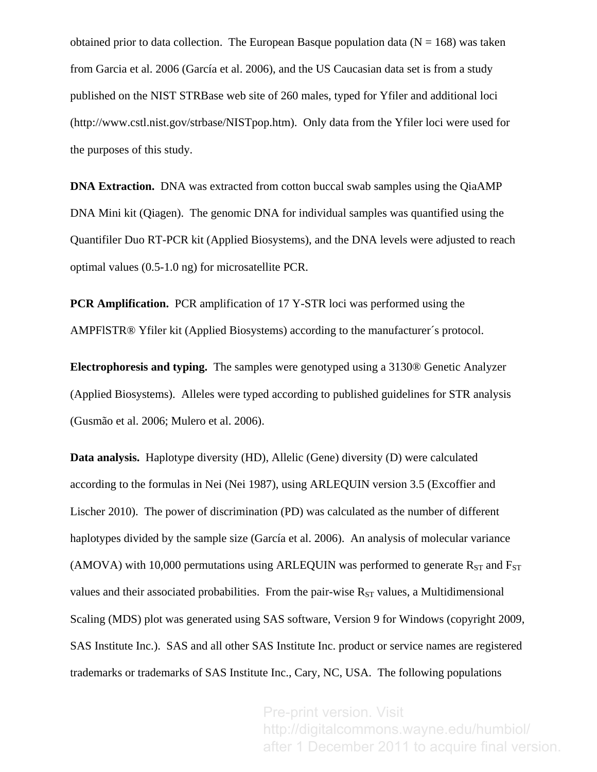obtained prior to data collection. The European Basque population data ( $N = 168$ ) was taken from Garcia et al. 2006 ([García et al. 2006\)](#page-14-8), and the US Caucasian data set is from a study published on the NIST STRBase web site of 260 males, typed for Yfiler and additional loci (http://www.cstl.nist.gov/strbase/NISTpop.htm). Only data from the Yfiler loci were used for the purposes of this study.

**DNA Extraction.** DNA was extracted from cotton buccal swab samples using the QiaAMP DNA Mini kit (Qiagen). The genomic DNA for individual samples was quantified using the Quantifiler Duo RT-PCR kit (Applied Biosystems), and the DNA levels were adjusted to reach optimal values (0.5-1.0 ng) for microsatellite PCR.

**PCR Amplification.** PCR amplification of 17 Y-STR loci was performed using the AMPFlSTR® Yfiler kit (Applied Biosystems) according to the manufacturer´s protocol.

**Electrophoresis and typing.** The samples were genotyped using a 3130® Genetic Analyzer (Applied Biosystems). Alleles were typed according to published guidelines for STR analysis ([Gusmão et al. 2006](#page-14-9); [Mulero et al. 2006](#page-14-10)).

**Data analysis.** Haplotype diversity (HD), Allelic (Gene) diversity (D) were calculated according to the formulas in Nei ([Nei 1987\)](#page-14-11), using ARLEQUIN version 3.5 ([Excoffier and](#page-14-12)  [Lischer 2010](#page-14-12)). The power of discrimination (PD) was calculated as the number of different haplotypes divided by the sample size [\(García et al. 2006\)](#page-14-8). An analysis of molecular variance (AMOVA) with 10,000 permutations using ARLEQUIN was performed to generate  $R_{ST}$  and  $F_{ST}$ values and their associated probabilities. From the pair-wise  $R_{ST}$  values, a Multidimensional Scaling (MDS) plot was generated using SAS software, Version 9 for Windows (copyright 2009, SAS Institute Inc.). SAS and all other SAS Institute Inc. product or service names are registered trademarks or trademarks of SAS Institute Inc., Cary, NC, USA. The following populations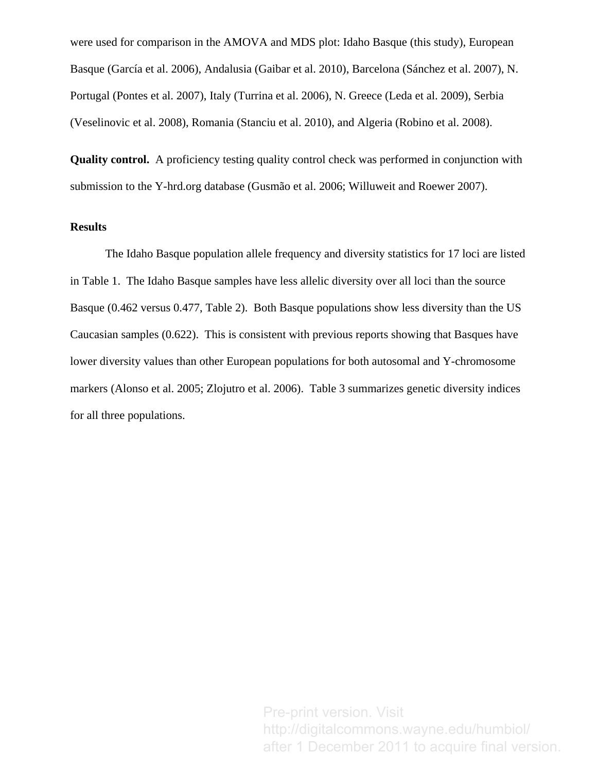were used for comparison in the AMOVA and MDS plot: Idaho Basque (this study), European Basque [\(García et al. 2006\)](#page-14-8), Andalusia [\(Gaibar et al. 2010](#page-14-13)), Barcelona ([Sánchez et al. 2007](#page-15-3)), N. Portugal ([Pontes et al. 2007](#page-14-14)), Italy [\(Turrina et al. 2006](#page-15-4)), N. Greece ([Leda et al. 2009](#page-14-15)), Serbia ([Veselinovic et al. 2008\)](#page-15-5), Romania ([Stanciu et al. 2010](#page-15-6)), and Algeria ([Robino et al. 2008](#page-15-7)).

**Quality control.** A proficiency testing quality control check was performed in conjunction with submission to the Y-hrd.org database ([Gusmão et al. 2006](#page-14-9); [Willuweit and Roewer 2007](#page-15-8)).

## **Results**

The Idaho Basque population allele frequency and diversity statistics for 17 loci are listed in Table 1. The Idaho Basque samples have less allelic diversity over all loci than the source Basque (0.462 versus 0.477, Table 2). Both Basque populations show less diversity than the US Caucasian samples (0.622). This is consistent with previous reports showing that Basques have lower diversity values than other European populations for both autosomal and Y-chromosome markers ([Alonso et al. 2005;](#page-14-16) [Zlojutro et al. 2006\)](#page-15-0). Table 3 summarizes genetic diversity indices for all three populations.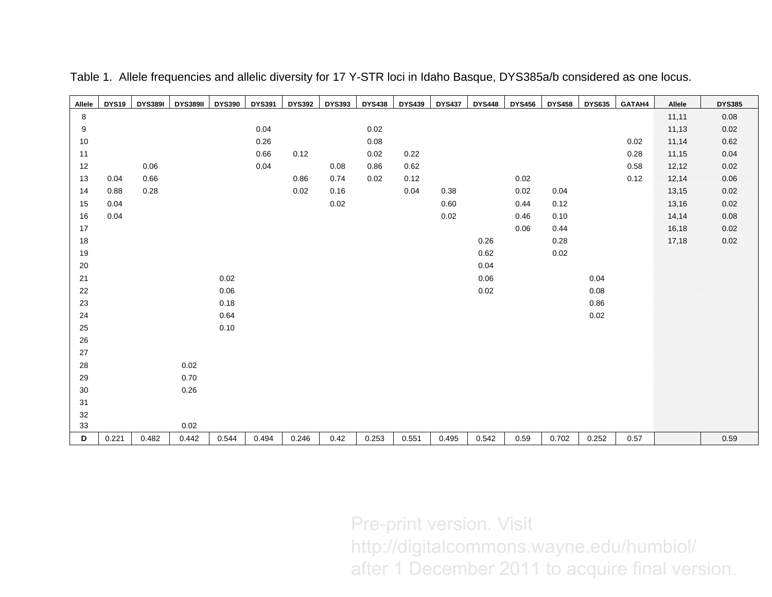| Allele      | <b>DYS19</b> | <b>DYS389I</b> | <b>DYS389II</b> | <b>DYS390</b> | <b>DYS391</b> | <b>DYS392</b> | <b>DYS393</b> | <b>DYS438</b> | <b>DYS439</b> | <b>DYS437</b> | <b>DYS448</b> | <b>DYS456</b> | <b>DYS458</b> | <b>DYS635</b> | GATAH4 | Allele | <b>DYS385</b> |
|-------------|--------------|----------------|-----------------|---------------|---------------|---------------|---------------|---------------|---------------|---------------|---------------|---------------|---------------|---------------|--------|--------|---------------|
| $\,$ 8 $\,$ |              |                |                 |               |               |               |               |               |               |               |               |               |               |               |        | 11,11  | 0.08          |
| 9           |              |                |                 |               | 0.04          |               |               | 0.02          |               |               |               |               |               |               |        | 11,13  | 0.02          |
| 10          |              |                |                 |               | 0.26          |               |               | 0.08          |               |               |               |               |               |               | 0.02   | 11,14  | 0.62          |
| 11          |              |                |                 |               | 0.66          | 0.12          |               | 0.02          | 0.22          |               |               |               |               |               | 0.28   | 11,15  | 0.04          |
| $12$        |              | 0.06           |                 |               | 0.04          |               | 0.08          | 0.86          | 0.62          |               |               |               |               |               | 0.58   | 12,12  | 0.02          |
| 13          | 0.04         | 0.66           |                 |               |               | 0.86          | 0.74          | 0.02          | 0.12          |               |               | 0.02          |               |               | 0.12   | 12,14  | 0.06          |
| 14          | 0.88         | 0.28           |                 |               |               | 0.02          | 0.16          |               | 0.04          | 0.38          |               | 0.02          | 0.04          |               |        | 13,15  | 0.02          |
| 15          | 0.04         |                |                 |               |               |               | 0.02          |               |               | 0.60          |               | 0.44          | 0.12          |               |        | 13,16  | 0.02          |
| 16          | 0.04         |                |                 |               |               |               |               |               |               | 0.02          |               | 0.46          | 0.10          |               |        | 14,14  | 0.08          |
| 17          |              |                |                 |               |               |               |               |               |               |               |               | 0.06          | 0.44          |               |        | 16,18  | 0.02          |
| 18          |              |                |                 |               |               |               |               |               |               |               | 0.26          |               | 0.28          |               |        | 17,18  | 0.02          |
| 19          |              |                |                 |               |               |               |               |               |               |               | 0.62          |               | 0.02          |               |        |        |               |
| 20          |              |                |                 |               |               |               |               |               |               |               | 0.04          |               |               |               |        |        |               |
| 21          |              |                |                 | 0.02          |               |               |               |               |               |               | 0.06          |               |               | 0.04          |        |        |               |
| 22          |              |                |                 | 0.06          |               |               |               |               |               |               | 0.02          |               |               | 0.08          |        |        |               |
| 23          |              |                |                 | 0.18          |               |               |               |               |               |               |               |               |               | 0.86          |        |        |               |
| 24          |              |                |                 | 0.64          |               |               |               |               |               |               |               |               |               | 0.02          |        |        |               |
| 25          |              |                |                 | 0.10          |               |               |               |               |               |               |               |               |               |               |        |        |               |
| 26          |              |                |                 |               |               |               |               |               |               |               |               |               |               |               |        |        |               |
| 27          |              |                |                 |               |               |               |               |               |               |               |               |               |               |               |        |        |               |
| 28          |              |                | 0.02            |               |               |               |               |               |               |               |               |               |               |               |        |        |               |
| 29          |              |                | 0.70            |               |               |               |               |               |               |               |               |               |               |               |        |        |               |
| 30          |              |                | 0.26            |               |               |               |               |               |               |               |               |               |               |               |        |        |               |
| 31          |              |                |                 |               |               |               |               |               |               |               |               |               |               |               |        |        |               |
| 32          |              |                |                 |               |               |               |               |               |               |               |               |               |               |               |        |        |               |
| 33          |              |                | 0.02            |               |               |               |               |               |               |               |               |               |               |               |        |        |               |
| D           | 0.221        | 0.482          | 0.442           | 0.544         | 0.494         | 0.246         | 0.42          | 0.253         | 0.551         | 0.495         | 0.542         | 0.59          | 0.702         | 0.252         | 0.57   |        | 0.59          |

Table 1. Allele frequencies and allelic diversity for 17 Y-STR loci in Idaho Basque, DYS385a/b considered as one locus.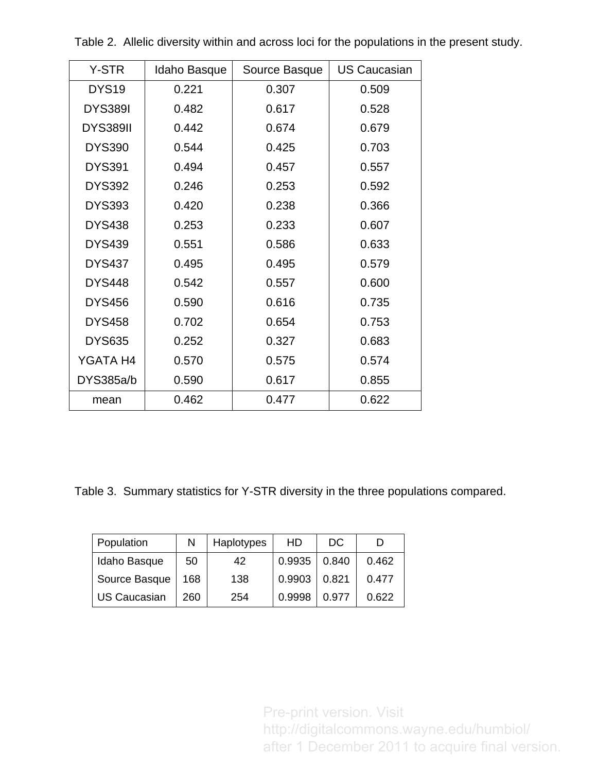| Y-STR             | Idaho Basque | Source Basque | <b>US Caucasian</b> |
|-------------------|--------------|---------------|---------------------|
| DYS <sub>19</sub> | 0.221        | 0.307         | 0.509               |
| <b>DYS389I</b>    | 0.482        | 0.617         | 0.528               |
| <b>DYS389II</b>   | 0.442        | 0.674         | 0.679               |
| <b>DYS390</b>     | 0.544        | 0.425         | 0.703               |
| <b>DYS391</b>     | 0.494        | 0.457         | 0.557               |
| <b>DYS392</b>     | 0.246        | 0.253         | 0.592               |
| <b>DYS393</b>     | 0.420        | 0.238         | 0.366               |
| <b>DYS438</b>     | 0.253        | 0.233         | 0.607               |
| <b>DYS439</b>     | 0.551        | 0.586         | 0.633               |
| <b>DYS437</b>     | 0.495        | 0.495         | 0.579               |
| <b>DYS448</b>     | 0.542        | 0.557         | 0.600               |
| <b>DYS456</b>     | 0.590        | 0.616         | 0.735               |
| <b>DYS458</b>     | 0.702        | 0.654         | 0.753               |
| <b>DYS635</b>     | 0.252        | 0.327         | 0.683               |
| YGATA H4          | 0.570        | 0.575         | 0.574               |
| DYS385a/b         | 0.590        | 0.617         | 0.855               |
| mean              | 0.462        | 0.477         | 0.622               |

Table 2. Allelic diversity within and across loci for the populations in the present study.

Table 3. Summary statistics for Y-STR diversity in the three populations compared.

| Population          | N   | Haplotypes | HD     | DC    |       |
|---------------------|-----|------------|--------|-------|-------|
| Idaho Basque        | 50  | 42         | 0.9935 | 0.840 | 0.462 |
| Source Basque       | 168 | 138        | 0.9903 | 0.821 | 0.477 |
| <b>US Caucasian</b> | 260 | 254        | 0.9998 | 0.977 | 0.622 |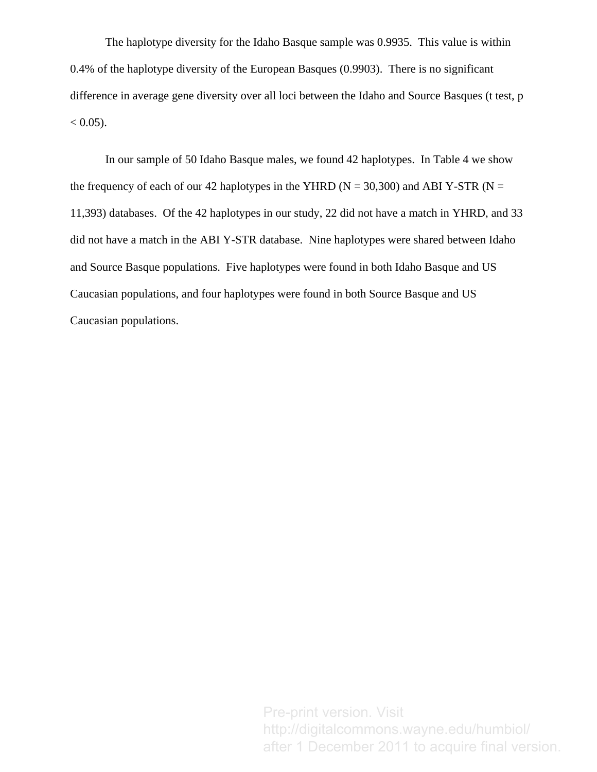The haplotype diversity for the Idaho Basque sample was 0.9935. This value is within 0.4% of the haplotype diversity of the European Basques (0.9903). There is no significant difference in average gene diversity over all loci between the Idaho and Source Basques (t test, p  $< 0.05$ ).

In our sample of 50 Idaho Basque males, we found 42 haplotypes. In Table 4 we show the frequency of each of our 42 haplotypes in the YHRD ( $N = 30,300$ ) and ABI Y-STR ( $N =$ 11,393) databases. Of the 42 haplotypes in our study, 22 did not have a match in YHRD, and 33 did not have a match in the ABI Y-STR database. Nine haplotypes were shared between Idaho and Source Basque populations. Five haplotypes were found in both Idaho Basque and US Caucasian populations, and four haplotypes were found in both Source Basque and US Caucasian populations.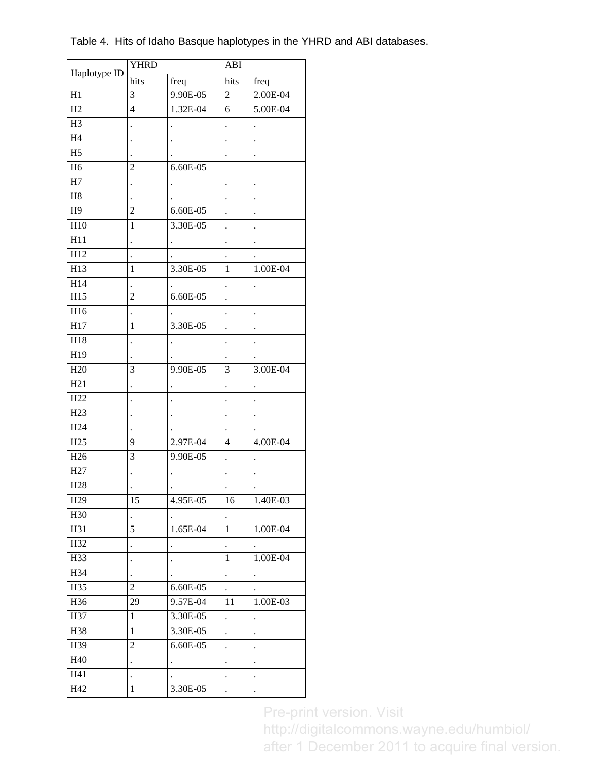| Haplotype ID     | <b>YHRD</b>          |                      | ABI                  |                      |  |  |
|------------------|----------------------|----------------------|----------------------|----------------------|--|--|
|                  | hits                 | freq                 | hits                 | freq                 |  |  |
| H1               | 3                    | 9.90E-05             | $\overline{c}$       | 2.00E-04             |  |  |
| H2               | $\overline{4}$       | 1.32E-04             | 6                    | 5.00E-04             |  |  |
| H <sub>3</sub>   |                      |                      | $\ddot{\phantom{0}}$ |                      |  |  |
| H <sub>4</sub>   |                      |                      |                      |                      |  |  |
| H <sub>5</sub>   | $\ddot{\phantom{0}}$ |                      |                      | $\ddot{\phantom{0}}$ |  |  |
| H <sub>6</sub>   | $\overline{2}$       | 6.60E-05             |                      |                      |  |  |
| H7               |                      |                      |                      | $\ddot{\phantom{0}}$ |  |  |
| H8               |                      |                      |                      |                      |  |  |
| H <sub>9</sub>   | $\overline{2}$       | $6.60E - 05$         |                      | $\ddot{\phantom{0}}$ |  |  |
| $\overline{H}10$ | $\mathbf{1}$         | 3.30E-05             |                      |                      |  |  |
| $\overline{H11}$ |                      |                      |                      | $\cdot$              |  |  |
| H <sub>12</sub>  |                      |                      |                      |                      |  |  |
| $\overline{H13}$ | 1                    | 3.30E-05             | 1                    | 1.00E-04             |  |  |
| H14              |                      |                      |                      |                      |  |  |
| $\overline{H15}$ | $\overline{c}$       | 6.60E-05             | $\ddot{\phantom{0}}$ |                      |  |  |
| H <sub>16</sub>  | $\ddot{\phantom{0}}$ |                      | $\ddot{\phantom{0}}$ | $\cdot$              |  |  |
| H17              | $\mathbf{1}$         | 3.30E-05             | $\ddot{\phantom{0}}$ |                      |  |  |
| H18              |                      | $\ddot{\phantom{0}}$ | $\ddot{\phantom{0}}$ | $\ddot{\phantom{0}}$ |  |  |
| H19              |                      |                      |                      |                      |  |  |
| H <sub>20</sub>  | 3                    | 9.90E-05             | 3                    | 3.00E-04             |  |  |
| H21              |                      |                      |                      |                      |  |  |
| H22              |                      |                      | $\cdot$              | $\ddot{\phantom{0}}$ |  |  |
| H <sub>23</sub>  |                      |                      |                      |                      |  |  |
| H <sub>24</sub>  |                      |                      |                      |                      |  |  |
| H25              | 9                    | 2.97E-04             | $\overline{4}$       | 4.00E-04             |  |  |
| H <sub>26</sub>  | 3                    | 9.90E-05             | $\ddot{\phantom{0}}$ | $\ddot{\phantom{0}}$ |  |  |
| H <sub>27</sub>  |                      |                      |                      |                      |  |  |
| H <sub>28</sub>  | $\cdot$              |                      |                      | $\ddot{\phantom{0}}$ |  |  |
| H <sub>29</sub>  | 15                   | 4.95E-05             | 16                   | 1.40E-03             |  |  |
| H30              |                      |                      |                      |                      |  |  |
| H31              | 5                    | 1.65E-04             | 1                    | $1.00E - 04$         |  |  |
| H32              | $\ddot{\phantom{0}}$ |                      | $\ddot{\phantom{0}}$ |                      |  |  |
| H33              |                      |                      | 1                    | 1.00E-04             |  |  |
| H34              | $\ddot{\phantom{0}}$ |                      | $\ddot{\cdot}$       | $\ddot{\phantom{0}}$ |  |  |
| H35              | $\overline{c}$       | 6.60E-05             |                      |                      |  |  |
| H36              | 29                   | 9.57E-04             | 11                   | $1.00E - 03$         |  |  |
| H37              | 1                    | 3.30E-05             | $\ddot{\phantom{0}}$ | $\ddot{\phantom{0}}$ |  |  |
| H38              | $\mathbf{1}$         | 3.30E-05             | $\ddot{\phantom{0}}$ | $\ddot{\phantom{0}}$ |  |  |
| H39              | 2                    | 6.60E-05             | $\ddot{\phantom{a}}$ | $\bullet$            |  |  |
| H40              | $\ddot{\phantom{0}}$ | $\ddot{\phantom{0}}$ | $\ddot{\phantom{0}}$ | $\blacksquare$       |  |  |
| H41              | $\ddot{\phantom{0}}$ |                      | $\bullet$            | $\bullet$            |  |  |
| H42              | $\mathbf{1}$         | 3.30E-05             | $\ddot{\phantom{0}}$ |                      |  |  |
|                  |                      |                      |                      |                      |  |  |

Table 4. Hits of Idaho Basque haplotypes in the YHRD and ABI databases.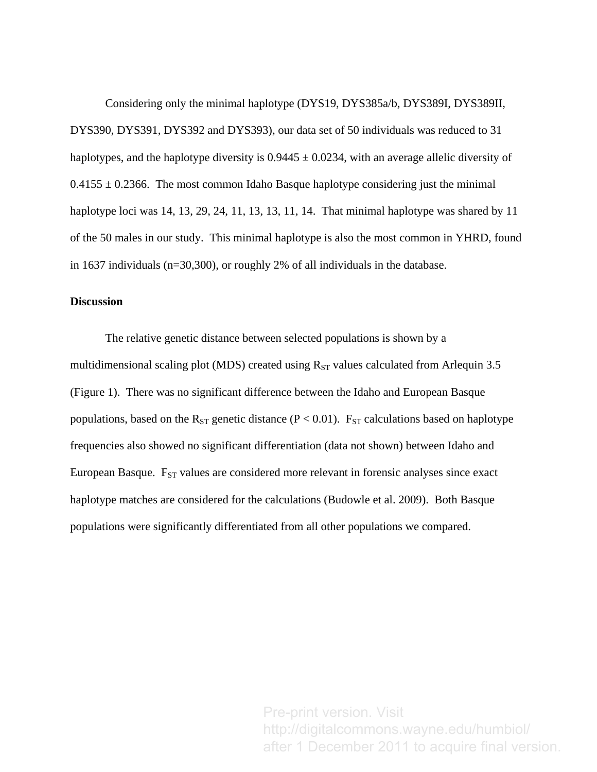Considering only the minimal haplotype (DYS19, DYS385a/b, DYS389I, DYS389II, DYS390, DYS391, DYS392 and DYS393), our data set of 50 individuals was reduced to 31 haplotypes, and the haplotype diversity is  $0.9445 \pm 0.0234$ , with an average allelic diversity of  $0.4155 \pm 0.2366$ . The most common Idaho Basque haplotype considering just the minimal haplotype loci was 14, 13, 29, 24, 11, 13, 13, 11, 14. That minimal haplotype was shared by 11 of the 50 males in our study. This minimal haplotype is also the most common in YHRD, found in 1637 individuals (n=30,300), or roughly 2% of all individuals in the database.

## **Discussion**

The relative genetic distance between selected populations is shown by a multidimensional scaling plot (MDS) created using  $R_{ST}$  values calculated from Arlequin 3.5 (Figure 1). There was no significant difference between the Idaho and European Basque populations, based on the R<sub>ST</sub> genetic distance ( $P < 0.01$ ). F<sub>ST</sub> calculations based on haplotype frequencies also showed no significant differentiation (data not shown) between Idaho and European Basque.  $F_{ST}$  values are considered more relevant in forensic analyses since exact haplotype matches are considered for the calculations [\(Budowle et al. 2009\)](#page-14-17). Both Basque populations were significantly differentiated from all other populations we compared.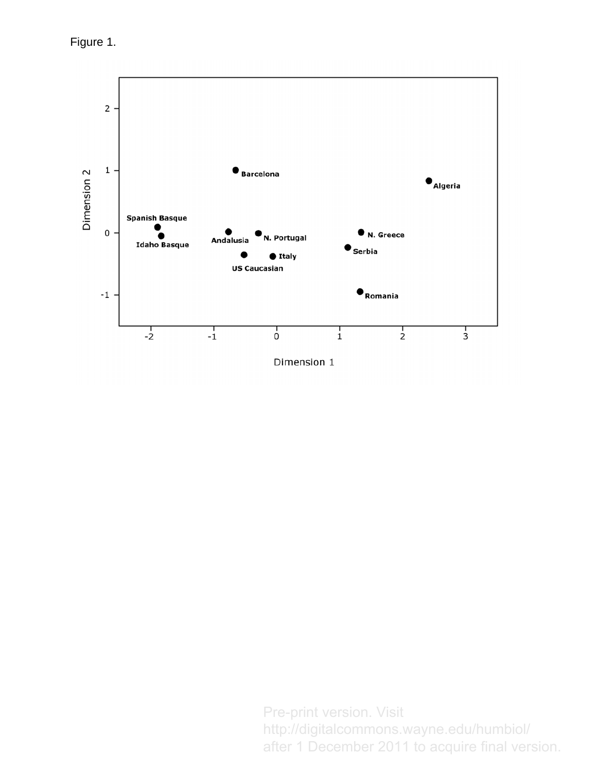Figure 1.

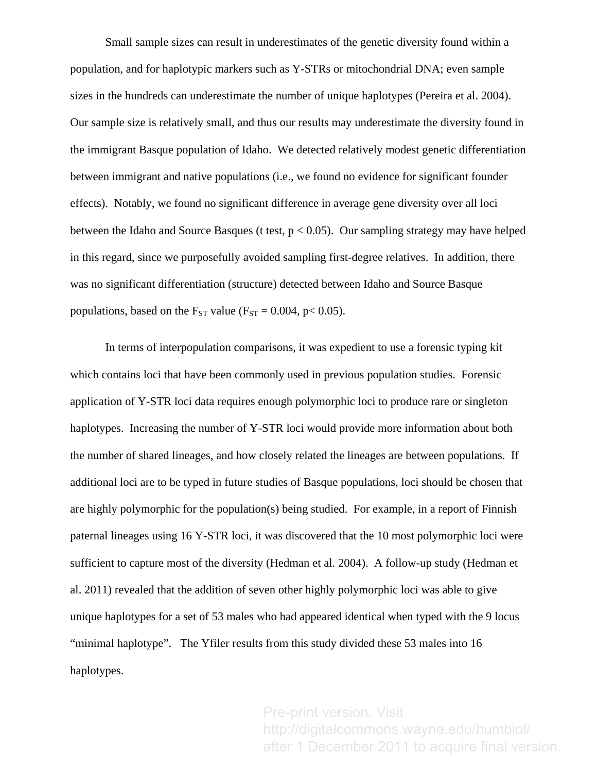Small sample sizes can result in underestimates of the genetic diversity found within a population, and for haplotypic markers such as Y-STRs or mitochondrial DNA; even sample sizes in the hundreds can underestimate the number of unique haplotypes [\(Pereira et al. 2004\)](#page-14-18). Our sample size is relatively small, and thus our results may underestimate the diversity found in the immigrant Basque population of Idaho. We detected relatively modest genetic differentiation between immigrant and native populations (i.e., we found no evidence for significant founder effects). Notably, we found no significant difference in average gene diversity over all loci between the Idaho and Source Basques (t test,  $p < 0.05$ ). Our sampling strategy may have helped in this regard, since we purposefully avoided sampling first-degree relatives. In addition, there was no significant differentiation (structure) detected between Idaho and Source Basque populations, based on the  $F_{ST}$  value ( $F_{ST} = 0.004$ ,  $p < 0.05$ ).

In terms of interpopulation comparisons, it was expedient to use a forensic typing kit which contains loci that have been commonly used in previous population studies. Forensic application of Y-STR loci data requires enough polymorphic loci to produce rare or singleton haplotypes. Increasing the number of Y-STR loci would provide more information about both the number of shared lineages, and how closely related the lineages are between populations. If additional loci are to be typed in future studies of Basque populations, loci should be chosen that are highly polymorphic for the population(s) being studied. For example, in a report of Finnish paternal lineages using 16 Y-STR loci, it was discovered that the 10 most polymorphic loci were sufficient to capture most of the diversity ([Hedman et al. 2004\)](#page-14-19). A follow-up study ([Hedman et](#page-14-20)  [al. 2011\)](#page-14-20) revealed that the addition of seven other highly polymorphic loci was able to give unique haplotypes for a set of 53 males who had appeared identical when typed with the 9 locus "minimal haplotype". The Yfiler results from this study divided these 53 males into 16 haplotypes.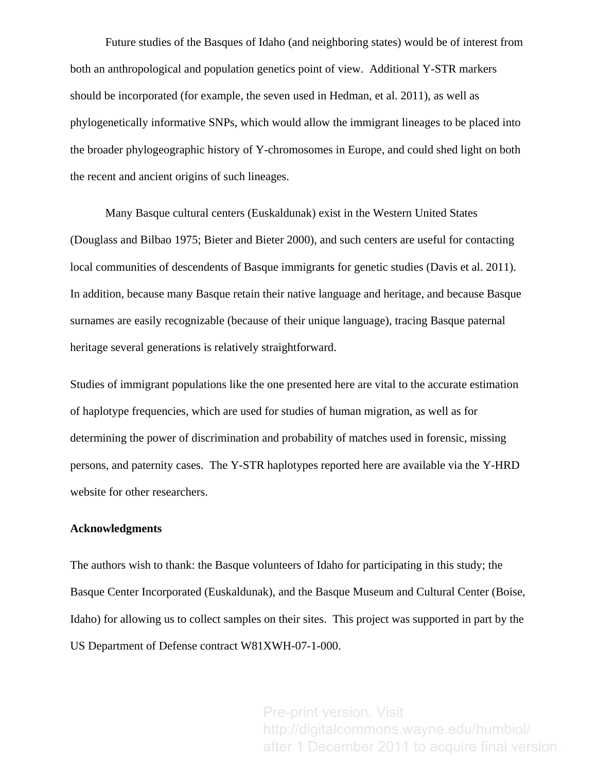Future studies of the Basques of Idaho (and neighboring states) would be of interest from both an anthropological and population genetics point of view. Additional Y-STR markers should be incorporated (for example, the seven used in Hedman, et al. 2011), as well as phylogenetically informative SNPs, which would allow the immigrant lineages to be placed into the broader phylogeographic history of Y-chromosomes in Europe, and could shed light on both the recent and ancient origins of such lineages.

Many Basque cultural centers (Euskaldunak) exist in the Western United States ([Douglass and Bilbao 1975;](#page-14-6) [Bieter and Bieter 2000](#page-14-7)), and such centers are useful for contacting local communities of descendents of Basque immigrants for genetic studies [\(Davis et al. 2011\)](#page-14-3). In addition, because many Basque retain their native language and heritage, and because Basque surnames are easily recognizable (because of their unique language), tracing Basque paternal heritage several generations is relatively straightforward.

Studies of immigrant populations like the one presented here are vital to the accurate estimation of haplotype frequencies, which are used for studies of human migration, as well as for determining the power of discrimination and probability of matches used in forensic, missing persons, and paternity cases. The Y-STR haplotypes reported here are available via the Y-HRD website for other researchers.

#### **Acknowledgments**

The authors wish to thank: the Basque volunteers of Idaho for participating in this study; the Basque Center Incorporated (Euskaldunak), and the Basque Museum and Cultural Center (Boise, Idaho) for allowing us to collect samples on their sites. This project was supported in part by the US Department of Defense contract W81XWH-07-1-000.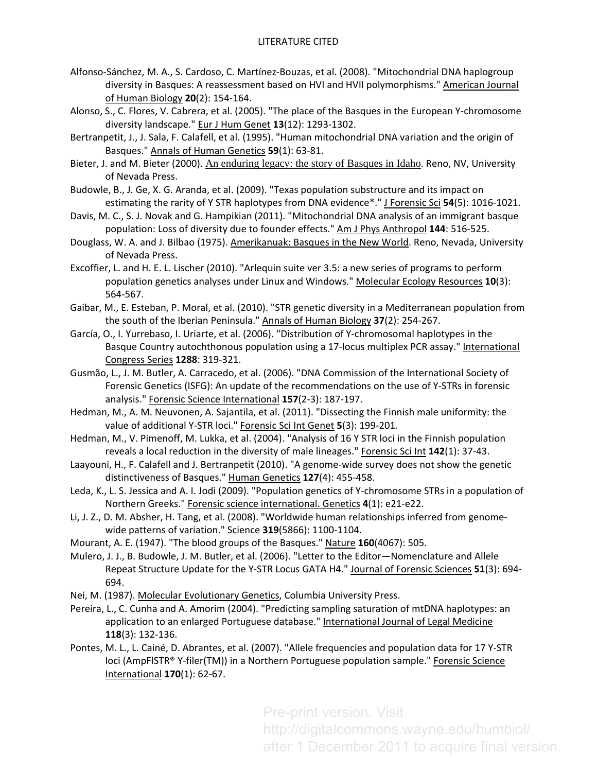- <span id="page-14-2"></span>Alfonso‐Sánchez, M. A., S. Cardoso, C. Martínez‐Bouzas, et al. (2008). "Mitochondrial DNA haplogroup diversity in Basques: A reassessment based on HVI and HVII polymorphisms." American Journal of Human Biology **20**(2): 154‐164.
- <span id="page-14-16"></span>Alonso, S., C. Flores, V. Cabrera, et al. (2005). "The place of the Basques in the European Y‐chromosome diversity landscape." Eur J Hum Genet **13**(12): 1293‐1302.
- <span id="page-14-1"></span>Bertranpetit, J., J. Sala, F. Calafell, et al. (1995). "Human mitochondrial DNA variation and the origin of Basques." Annals of Human Genetics **59**(1): 63‐81.
- <span id="page-14-7"></span>Bieter, J. and M. Bieter (2000). An enduring legacy: the story of Basques in Idaho. Reno, NV, University of Nevada Press.
- <span id="page-14-17"></span>Budowle, B., J. Ge, X. G. Aranda, et al. (2009). "Texas population substructure and its impact on estimating the rarity of Y STR haplotypes from DNA evidence\*." J Forensic Sci **54**(5): 1016‐1021.
- <span id="page-14-3"></span>Davis, M. C., S. J. Novak and G. Hampikian (2011). "Mitochondrial DNA analysis of an immigrant basque population: Loss of diversity due to founder effects." Am J Phys Anthropol **144**: 516‐525.
- <span id="page-14-6"></span>Douglass, W. A. and J. Bilbao (1975). Amerikanuak: Basques in the New World. Reno, Nevada, University of Nevada Press.
- <span id="page-14-12"></span>Excoffier, L. and H. E. L. Lischer (2010). "Arlequin suite ver 3.5: a new series of programs to perform population genetics analyses under Linux and Windows." Molecular Ecology Resources **10**(3): 564‐567.
- <span id="page-14-13"></span>Gaibar, M., E. Esteban, P. Moral, et al. (2010). "STR genetic diversity in a Mediterranean population from the south of the Iberian Peninsula." Annals of Human Biology **37**(2): 254‐267.
- <span id="page-14-8"></span>García, O., I. Yurrebaso, I. Uriarte, et al. (2006). "Distribution of Y‐chromosomal haplotypes in the Basque Country autochthonous population using a 17-locus multiplex PCR assay." International Congress Series **1288**: 319‐321.
- <span id="page-14-9"></span>Gusmão, L., J. M. Butler, A. Carracedo, et al. (2006). "DNA Commission of the International Society of Forensic Genetics (ISFG): An update of the recommendations on the use of Y‐STRs in forensic analysis." Forensic Science International **157**(2‐3): 187‐197.
- <span id="page-14-20"></span>Hedman, M., A. M. Neuvonen, A. Sajantila, et al. (2011). "Dissecting the Finnish male uniformity: the value of additional Y‐STR loci." Forensic Sci Int Genet **5**(3): 199‐201.
- <span id="page-14-19"></span>Hedman, M., V. Pimenoff, M. Lukka, et al. (2004). "Analysis of 16 Y STR loci in the Finnish population reveals a local reduction in the diversity of male lineages." Forensic Sci Int **142**(1): 37‐43.
- <span id="page-14-5"></span>Laayouni, H., F. Calafell and J. Bertranpetit (2010). "A genome‐wide survey does not show the genetic distinctiveness of Basques." Human Genetics **127**(4): 455‐458.
- <span id="page-14-15"></span>Leda, K., L. S. Jessica and A. I. Jodi (2009). "Population genetics of Y‐chromosome STRs in a population of Northern Greeks." Forensic science international. Genetics **4**(1): e21‐e22.
- <span id="page-14-4"></span>Li, J. Z., D. M. Absher, H. Tang, et al. (2008). "Worldwide human relationships inferred from genome‐ wide patterns of variation." Science **319**(5866): 1100‐1104.
- <span id="page-14-0"></span>Mourant, A. E. (1947). "The blood groups of the Basques." Nature **160**(4067): 505.
- <span id="page-14-10"></span>Mulero, J. J., B. Budowle, J. M. Butler, et al. (2006). "Letter to the Editor—Nomenclature and Allele Repeat Structure Update for the Y‐STR Locus GATA H4." Journal of Forensic Sciences **51**(3): 694‐ 694.
- <span id="page-14-11"></span>Nei, M. (1987). Molecular Evolutionary Genetics, Columbia University Press.
- <span id="page-14-18"></span>Pereira, L., C. Cunha and A. Amorim (2004). "Predicting sampling saturation of mtDNA haplotypes: an application to an enlarged Portuguese database." International Journal of Legal Medicine **118**(3): 132‐136.
- <span id="page-14-14"></span>Pontes, M. L., L. Cainé, D. Abrantes, et al. (2007). "Allele frequencies and population data for 17 Y‐STR loci (AmpFlSTR® Y‐filer(TM)) in a Northern Portuguese population sample." Forensic Science International **170**(1): 62‐67.